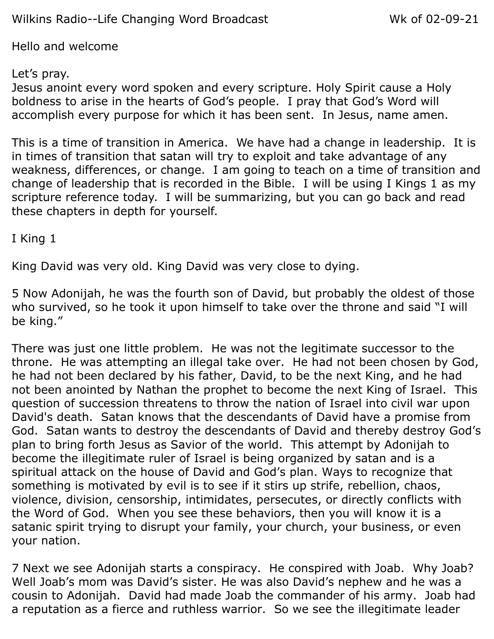Hello and welcome

## Let's pray.

Jesus anoint every word spoken and every scripture. Holy Spirit cause a Holy boldness to arise in the hearts of God's people. I pray that God's Word will accomplish every purpose for which it has been sent. In Jesus, name amen.

This is a time of transition in America. We have had a change in leadership. It is in times of transition that satan will try to exploit and take advantage of any weakness, differences, or change. I am going to teach on a time of transition and change of leadership that is recorded in the Bible. I will be using I Kings 1 as my scripture reference today. I will be summarizing, but you can go back and read these chapters in depth for yourself.

I King 1

King David was very old. King David was very close to dying.

5 Now Adonijah, he was the fourth son of David, but probably the oldest of those who survived, so he took it upon himself to take over the throne and said "I will be king."

There was just one little problem. He was not the legitimate successor to the throne. He was attempting an illegal take over. He had not been chosen by God, he had not been declared by his father, David, to be the next King, and he had not been anointed by Nathan the prophet to become the next King of Israel. This question of succession threatens to throw the nation of Israel into civil war upon David's death. Satan knows that the descendants of David have a promise from God. Satan wants to destroy the descendants of David and thereby destroy God's plan to bring forth Jesus as Savior of the world. This attempt by Adonijah to become the illegitimate ruler of Israel is being organized by satan and is a spiritual attack on the house of David and God's plan. Ways to recognize that something is motivated by evil is to see if it stirs up strife, rebellion, chaos, violence, division, censorship, intimidates, persecutes, or directly conflicts with the Word of God. When you see these behaviors, then you will know it is a satanic spirit trying to disrupt your family, your church, your business, or even your nation.

7 Next we see Adonijah starts a conspiracy. He conspired with Joab. Why Joab? Well Joab's mom was David's sister. He was also David's nephew and he was a cousin to Adonijah. David had made Joab the commander of his army. Joab had a reputation as a fierce and ruthless warrior. So we see the illegitimate leader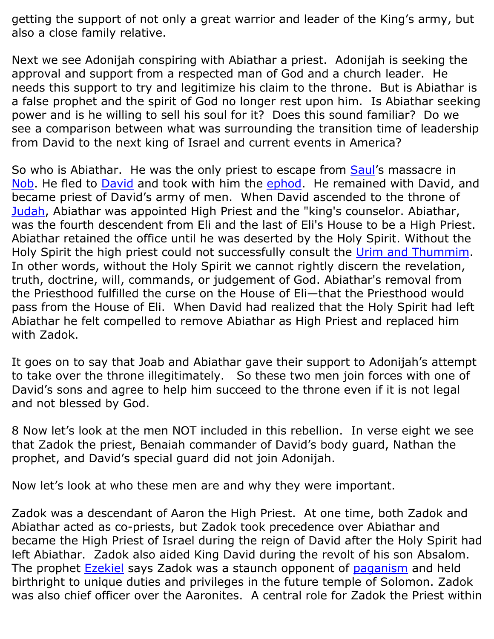getting the support of not only a great warrior and leader of the King's army, but also a close family relative.

Next we see Adonijah conspiring with Abiathar a priest. Adonijah is seeking the approval and support from a respected man of God and a church leader. He needs this support to try and legitimize his claim to the throne. But is Abiathar is a false prophet and the spirit of God no longer rest upon him. Is Abiathar seeking power and is he willing to sell his soul for it? Does this sound familiar? Do we see a comparison between what was surrounding the transition time of leadership from David to the next king of Israel and current events in America?

So who is Abiathar. He was the only priest to escape from **Saul's** massacre in [Nob.](https://en.wikipedia.org/wiki/Nob,_Israel) He fled to **David** and took with him the **ephod**. He remained with [David](https://en.wikipedia.org/wiki/David), and became priest of David's army of men. When David ascended to the throne of [Judah,](https://en.wikipedia.org/wiki/Kingdom_of_Judah) Abiathar was appointed High Priest and the "king's counselor. Abiathar, was the fourth descendent from Eli and the last of Eli's House to be a High Priest. Abiathar retained the office until he was deserted by the Holy Spirit. Without the Holy Spirit the high priest could not successfully consult the [Urim and Thummim.](https://en.wikipedia.org/wiki/Urim_and_Thummim) In other words, without the Holy Spirit we cannot rightly discern the revelation, truth, doctrine, will, commands, or judgement of God. Abiathar's removal from the Priesthood fulfilled the curse on the House of Eli—that the Priesthood would pass from the House of Eli. When David had realized that the Holy Spirit had left Abiathar he felt compelled to remove Abiathar as High Priest and replaced him with Zadok.

It goes on to say that Joab and Abiathar gave their support to Adonijah's attempt to take over the throne illegitimately. So these two men join forces with one of David's sons and agree to help him succeed to the throne even if it is not legal and not blessed by God.

8 Now let's look at the men NOT included in this rebellion. In verse eight we see that Zadok the priest, Benaiah commander of David's body guard, Nathan the prophet, and David's special guard did not join Adonijah.

Now let's look at who these men are and why they were important.

Zadok was a descendant of Aaron the High Priest. At one time, both Zadok and Abiathar acted as co-priests, but Zadok took precedence over Abiathar and became the High Priest of Israel during the reign of David after the Holy Spirit had left Abiathar. Zadok also aided King David during the revolt of his son Absalom. The prophet [Ezekiel](https://en.wikipedia.org/wiki/Ezekiel) says Zadok was a staunch opponent of [paganism](https://en.wikipedia.org/wiki/Avodah_Zarah) and held birthright to unique duties and privileges in the future temple of Solomon. Zadok was also chief officer over the Aaronites. A central role for Zadok the Priest within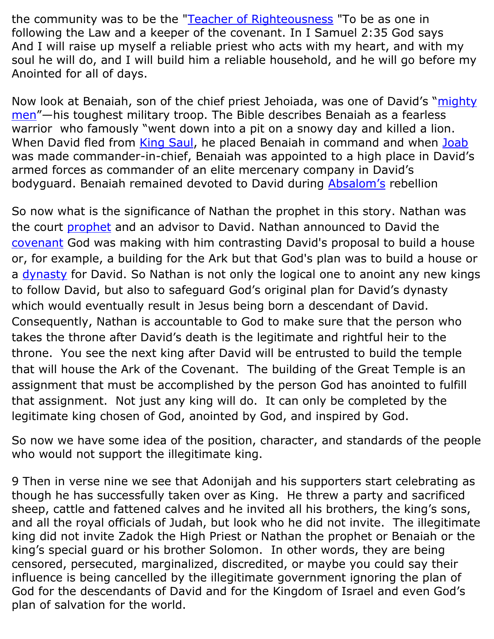the community was to be the ["Teacher of Righteousness](https://en.wikipedia.org/wiki/Teacher_of_Righteousness) "To be as one in following the Law and a keeper of the covenant. In I Samuel 2:35 God says And I will raise up myself a reliable priest who acts with my heart, and with my soul he will do, and I will build him a reliable household, and he will go before my Anointed for all of days.

Now look at Benaiah, son of the chief priest Jehoiada, was one of David's "mighty [men](https://www.gotquestions.org/mighty-men-David.html)"—his toughest military troop. The Bible describes Benaiah as a fearless warrior who famously "went down into a pit on a snowy day and killed a lion. When David fled from [King Saul,](https://www.gotquestions.org/life-Saul.html) he placed Benaiah in command and when [Joab](https://www.gotquestions.org/Joab-in-the-Bible.html) was made commander-in-chief, Benaiah was appointed to a high place in David's armed forces as commander of an elite mercenary company in David's bodyguard. Benaiah remained devoted to David during [Absalom's](https://www.gotquestions.org/who-was-Absalom.html) rebellion

So now what is the significance of Nathan the prophet in this story. Nathan was the court [prophet](https://en.wikipedia.org/wiki/Prophet) and an advisor to David. Nathan announced to David the [covenant](https://en.wikipedia.org/wiki/Covenant_(biblical)#Davidic_covenant) God was making with him contrasting David's proposal to build a house or, for example, a building for the Ark but that God's plan was to build a house or a [dynasty](https://en.wikipedia.org/wiki/Davidic_line) for David. So Nathan is not only the logical one to anoint any new kings to follow David, but also to safeguard God's original plan for David's dynasty which would eventually result in Jesus being born a descendant of David. Consequently, Nathan is accountable to God to make sure that the person who takes the throne after David's death is the legitimate and rightful heir to the throne. You see the next king after David will be entrusted to build the temple that will house the Ark of the Covenant. The building of the Great Temple is an assignment that must be accomplished by the person God has anointed to fulfill that assignment. Not just any king will do. It can only be completed by the legitimate king chosen of God, anointed by God, and inspired by God.

So now we have some idea of the position, character, and standards of the people who would not support the illegitimate king.

9 Then in verse nine we see that Adonijah and his supporters start celebrating as though he has successfully taken over as King. He threw a party and sacrificed sheep, cattle and fattened calves and he invited all his brothers, the king's sons, and all the royal officials of Judah, but look who he did not invite. The illegitimate king did not invite Zadok the High Priest or Nathan the prophet or Benaiah or the king's special guard or his brother Solomon. In other words, they are being censored, persecuted, marginalized, discredited, or maybe you could say their influence is being cancelled by the illegitimate government ignoring the plan of God for the descendants of David and for the Kingdom of Israel and even God's plan of salvation for the world.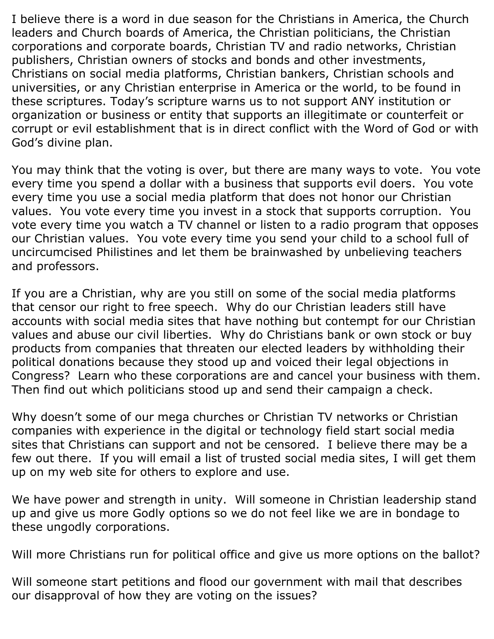I believe there is a word in due season for the Christians in America, the Church leaders and Church boards of America, the Christian politicians, the Christian corporations and corporate boards, Christian TV and radio networks, Christian publishers, Christian owners of stocks and bonds and other investments, Christians on social media platforms, Christian bankers, Christian schools and universities, or any Christian enterprise in America or the world, to be found in these scriptures. Today's scripture warns us to not support ANY institution or organization or business or entity that supports an illegitimate or counterfeit or corrupt or evil establishment that is in direct conflict with the Word of God or with God's divine plan.

You may think that the voting is over, but there are many ways to vote. You vote every time you spend a dollar with a business that supports evil doers. You vote every time you use a social media platform that does not honor our Christian values. You vote every time you invest in a stock that supports corruption. You vote every time you watch a TV channel or listen to a radio program that opposes our Christian values. You vote every time you send your child to a school full of uncircumcised Philistines and let them be brainwashed by unbelieving teachers and professors.

If you are a Christian, why are you still on some of the social media platforms that censor our right to free speech. Why do our Christian leaders still have accounts with social media sites that have nothing but contempt for our Christian values and abuse our civil liberties. Why do Christians bank or own stock or buy products from companies that threaten our elected leaders by withholding their political donations because they stood up and voiced their legal objections in Congress? Learn who these corporations are and cancel your business with them. Then find out which politicians stood up and send their campaign a check.

Why doesn't some of our mega churches or Christian TV networks or Christian companies with experience in the digital or technology field start social media sites that Christians can support and not be censored. I believe there may be a few out there. If you will email a list of trusted social media sites, I will get them up on my web site for others to explore and use.

We have power and strength in unity. Will someone in Christian leadership stand up and give us more Godly options so we do not feel like we are in bondage to these ungodly corporations.

Will more Christians run for political office and give us more options on the ballot?

Will someone start petitions and flood our government with mail that describes our disapproval of how they are voting on the issues?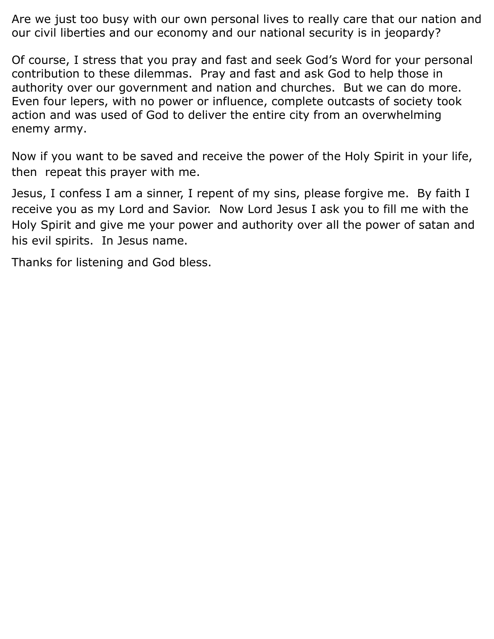Are we just too busy with our own personal lives to really care that our nation and our civil liberties and our economy and our national security is in jeopardy?

Of course, I stress that you pray and fast and seek God's Word for your personal contribution to these dilemmas. Pray and fast and ask God to help those in authority over our government and nation and churches. But we can do more. Even four lepers, with no power or influence, complete outcasts of society took action and was used of God to deliver the entire city from an overwhelming enemy army.

Now if you want to be saved and receive the power of the Holy Spirit in your life, then repeat this prayer with me.

Jesus, I confess I am a sinner, I repent of my sins, please forgive me. By faith I receive you as my Lord and Savior. Now Lord Jesus I ask you to fill me with the Holy Spirit and give me your power and authority over all the power of satan and his evil spirits. In Jesus name.

Thanks for listening and God bless.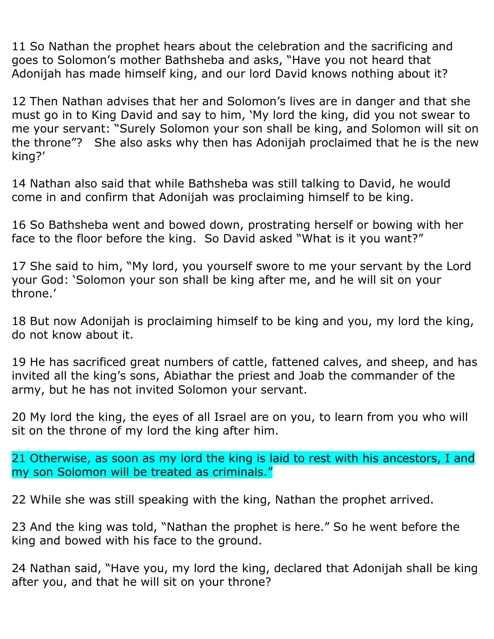11 So Nathan the prophet hears about the celebration and the sacrificing and goes to Solomon's mother Bathsheba and asks, "Have you not heard that Adonijah has made himself king, and our lord David knows nothing about it?

12 Then Nathan advises that her and Solomon's lives are in danger and that she must go in to King David and say to him, 'My lord the king, did you not swear to me your servant: "Surely Solomon your son shall be king, and Solomon will sit on the throne"? She also asks why then has Adonijah proclaimed that he is the new king?'

14 Nathan also said that while Bathsheba was still talking to David, he would come in and confirm that Adonijah was proclaiming himself to be king.

16 So Bathsheba went and bowed down, prostrating herself or bowing with her face to the floor before the king. So David asked "What is it you want?"

17 She said to him, "My lord, you yourself swore to me your servant by the Lord your God: 'Solomon your son shall be king after me, and he will sit on your throne.'

18 But now Adonijah is proclaiming himself to be king and you, my lord the king, do not know about it.

19 He has sacrificed great numbers of cattle, fattened calves, and sheep, and has invited all the king's sons, Abiathar the priest and Joab the commander of the army, but he has not invited Solomon your servant.

20 My lord the king, the eyes of all Israel are on you, to learn from you who will sit on the throne of my lord the king after him.

21 Otherwise, as soon as my lord the king is laid to rest with his ancestors, I and my son Solomon will be treated as criminals."

22 While she was still speaking with the king, Nathan the prophet arrived.

23 And the king was told, "Nathan the prophet is here." So he went before the king and bowed with his face to the ground.

24 Nathan said, "Have you, my lord the king, declared that Adonijah shall be king after you, and that he will sit on your throne?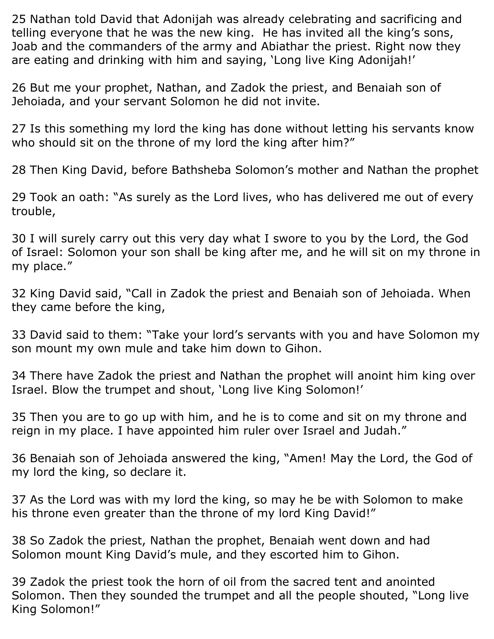25 Nathan told David that Adonijah was already celebrating and sacrificing and telling everyone that he was the new king. He has invited all the king's sons, Joab and the commanders of the army and Abiathar the priest. Right now they are eating and drinking with him and saying, 'Long live King Adonijah!'

26 But me your prophet, Nathan, and Zadok the priest, and Benaiah son of Jehoiada, and your servant Solomon he did not invite.

27 Is this something my lord the king has done without letting his servants know who should sit on the throne of my lord the king after him?"

28 Then King David, before Bathsheba Solomon's mother and Nathan the prophet

29 Took an oath: "As surely as the Lord lives, who has delivered me out of every trouble,

30 I will surely carry out this very day what I swore to you by the Lord, the God of Israel: Solomon your son shall be king after me, and he will sit on my throne in my place."

32 King David said, "Call in Zadok the priest and Benaiah son of Jehoiada. When they came before the king,

33 David said to them: "Take your lord's servants with you and have Solomon my son mount my own mule and take him down to Gihon.

34 There have Zadok the priest and Nathan the prophet will anoint him king over Israel. Blow the trumpet and shout, 'Long live King Solomon!'

35 Then you are to go up with him, and he is to come and sit on my throne and reign in my place. I have appointed him ruler over Israel and Judah."

36 Benaiah son of Jehoiada answered the king, "Amen! May the Lord, the God of my lord the king, so declare it.

37 As the Lord was with my lord the king, so may he be with Solomon to make his throne even greater than the throne of my lord King David!"

38 So Zadok the priest, Nathan the prophet, Benaiah went down and had Solomon mount King David's mule, and they escorted him to Gihon.

39 Zadok the priest took the horn of oil from the sacred tent and anointed Solomon. Then they sounded the trumpet and all the people shouted, "Long live King Solomon!"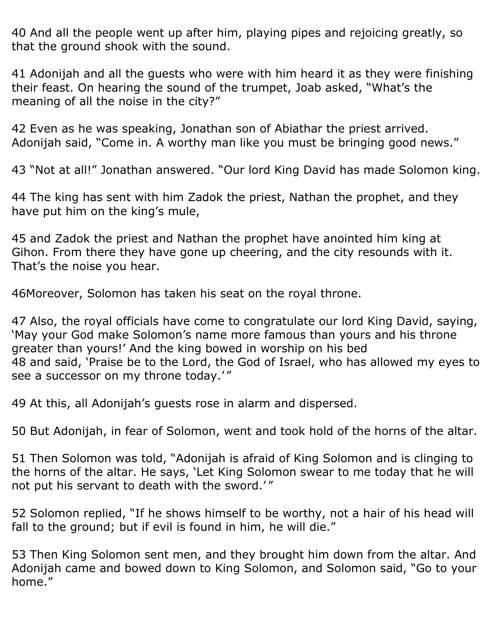40 And all the people went up after him, playing pipes and rejoicing greatly, so that the ground shook with the sound.

41 Adonijah and all the guests who were with him heard it as they were finishing their feast. On hearing the sound of the trumpet, Joab asked, "What's the meaning of all the noise in the city?"

42 Even as he was speaking, Jonathan son of Abiathar the priest arrived. Adonijah said, "Come in. A worthy man like you must be bringing good news."

43 "Not at all!" Jonathan answered. "Our lord King David has made Solomon king.

44 The king has sent with him Zadok the priest, Nathan the prophet, and they have put him on the king's mule,

45 and Zadok the priest and Nathan the prophet have anointed him king at Gihon. From there they have gone up cheering, and the city resounds with it. That's the noise you hear.

46Moreover, Solomon has taken his seat on the royal throne.

47 Also, the royal officials have come to congratulate our lord King David, saying, 'May your God make Solomon's name more famous than yours and his throne greater than yours!' And the king bowed in worship on his bed 48 and said, 'Praise be to the Lord, the God of Israel, who has allowed my eyes to see a successor on my throne today.' "

49 At this, all Adonijah's guests rose in alarm and dispersed.

50 But Adonijah, in fear of Solomon, went and took hold of the horns of the altar.

51 Then Solomon was told, "Adonijah is afraid of King Solomon and is clinging to the horns of the altar. He says, 'Let King Solomon swear to me today that he will not put his servant to death with the sword.' "

52 Solomon replied, "If he shows himself to be worthy, not a hair of his head will fall to the ground; but if evil is found in him, he will die."

53 Then King Solomon sent men, and they brought him down from the altar. And Adonijah came and bowed down to King Solomon, and Solomon said, "Go to your home."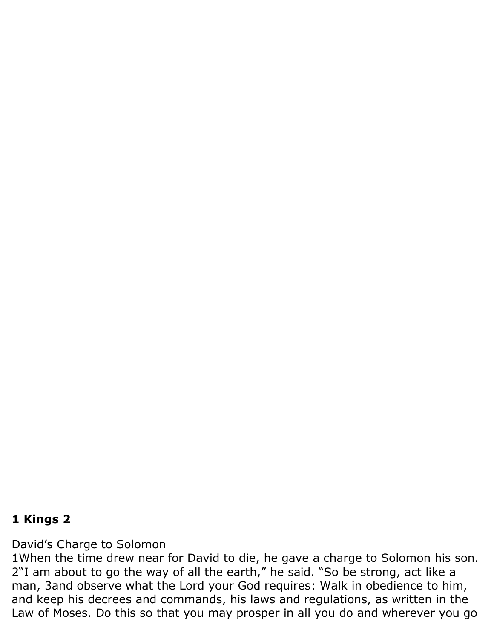## **1 Kings 2**

David's Charge to Solomon

1When the time drew near for David to die, he gave a charge to Solomon his son. 2"I am about to go the way of all the earth," he said. "So be strong, act like a man, 3and observe what the Lord your God requires: Walk in obedience to him, and keep his decrees and commands, his laws and regulations, as written in the Law of Moses. Do this so that you may prosper in all you do and wherever you go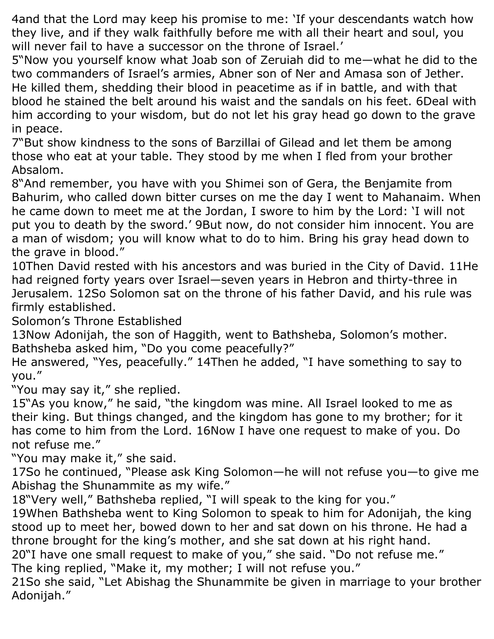4and that the Lord may keep his promise to me: 'If your descendants watch how they live, and if they walk faithfully before me with all their heart and soul, you will never fail to have a successor on the throne of Israel.'

5"Now you yourself know what Joab son of Zeruiah did to me—what he did to the two commanders of Israel's armies, Abner son of Ner and Amasa son of Jether. He killed them, shedding their blood in peacetime as if in battle, and with that blood he stained the belt around his waist and the sandals on his feet. 6Deal with him according to your wisdom, but do not let his gray head go down to the grave in peace.

7"But show kindness to the sons of Barzillai of Gilead and let them be among those who eat at your table. They stood by me when I fled from your brother Absalom.

8"And remember, you have with you Shimei son of Gera, the Benjamite from Bahurim, who called down bitter curses on me the day I went to Mahanaim. When he came down to meet me at the Jordan, I swore to him by the Lord: 'I will not put you to death by the sword.' 9But now, do not consider him innocent. You are a man of wisdom; you will know what to do to him. Bring his gray head down to the grave in blood."

10Then David rested with his ancestors and was buried in the City of David. 11He had reigned forty years over Israel—seven years in Hebron and thirty-three in Jerusalem. 12So Solomon sat on the throne of his father David, and his rule was firmly established.

Solomon's Throne Established

13Now Adonijah, the son of Haggith, went to Bathsheba, Solomon's mother. Bathsheba asked him, "Do you come peacefully?"

He answered, "Yes, peacefully." 14Then he added, "I have something to say to you."

"You may say it," she replied.

15"As you know," he said, "the kingdom was mine. All Israel looked to me as their king. But things changed, and the kingdom has gone to my brother; for it has come to him from the Lord. 16Now I have one request to make of you. Do not refuse me."

"You may make it," she said.

17So he continued, "Please ask King Solomon—he will not refuse you—to give me Abishag the Shunammite as my wife."

18"Very well," Bathsheba replied, "I will speak to the king for you."

19When Bathsheba went to King Solomon to speak to him for Adonijah, the king stood up to meet her, bowed down to her and sat down on his throne. He had a throne brought for the king's mother, and she sat down at his right hand.

20"I have one small request to make of you," she said. "Do not refuse me." The king replied, "Make it, my mother; I will not refuse you."

21So she said, "Let Abishag the Shunammite be given in marriage to your brother Adonijah."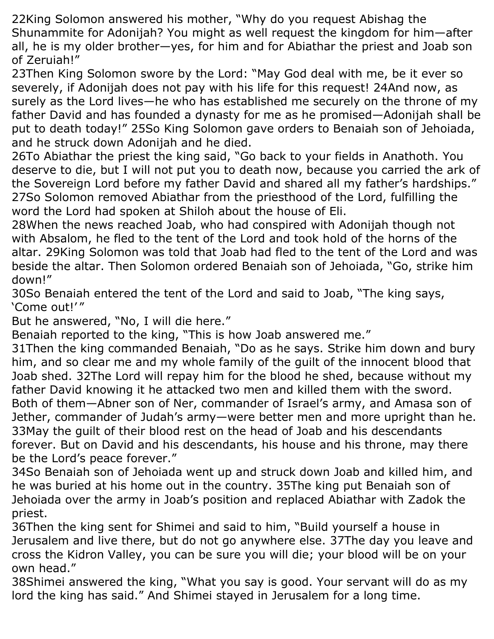22King Solomon answered his mother, "Why do you request Abishag the Shunammite for Adonijah? You might as well request the kingdom for him—after all, he is my older brother—yes, for him and for Abiathar the priest and Joab son of Zeruiah!"

23Then King Solomon swore by the Lord: "May God deal with me, be it ever so severely, if Adonijah does not pay with his life for this request! 24And now, as surely as the Lord lives—he who has established me securely on the throne of my father David and has founded a dynasty for me as he promised—Adonijah shall be put to death today!" 25So King Solomon gave orders to Benaiah son of Jehoiada, and he struck down Adonijah and he died.

26To Abiathar the priest the king said, "Go back to your fields in Anathoth. You deserve to die, but I will not put you to death now, because you carried the ark of the Sovereign Lord before my father David and shared all my father's hardships." 27So Solomon removed Abiathar from the priesthood of the Lord, fulfilling the word the Lord had spoken at Shiloh about the house of Eli.

28When the news reached Joab, who had conspired with Adonijah though not with Absalom, he fled to the tent of the Lord and took hold of the horns of the altar. 29King Solomon was told that Joab had fled to the tent of the Lord and was beside the altar. Then Solomon ordered Benaiah son of Jehoiada, "Go, strike him down!"

30So Benaiah entered the tent of the Lord and said to Joab, "The king says, 'Come out!' "

But he answered, "No, I will die here."

Benaiah reported to the king, "This is how Joab answered me."

31Then the king commanded Benaiah, "Do as he says. Strike him down and bury him, and so clear me and my whole family of the guilt of the innocent blood that Joab shed. 32The Lord will repay him for the blood he shed, because without my father David knowing it he attacked two men and killed them with the sword. Both of them—Abner son of Ner, commander of Israel's army, and Amasa son of Jether, commander of Judah's army—were better men and more upright than he. 33May the guilt of their blood rest on the head of Joab and his descendants forever. But on David and his descendants, his house and his throne, may there be the Lord's peace forever."

34So Benaiah son of Jehoiada went up and struck down Joab and killed him, and he was buried at his home out in the country. 35The king put Benaiah son of Jehoiada over the army in Joab's position and replaced Abiathar with Zadok the priest.

36Then the king sent for Shimei and said to him, "Build yourself a house in Jerusalem and live there, but do not go anywhere else. 37The day you leave and cross the Kidron Valley, you can be sure you will die; your blood will be on your own head."

38Shimei answered the king, "What you say is good. Your servant will do as my lord the king has said." And Shimei stayed in Jerusalem for a long time.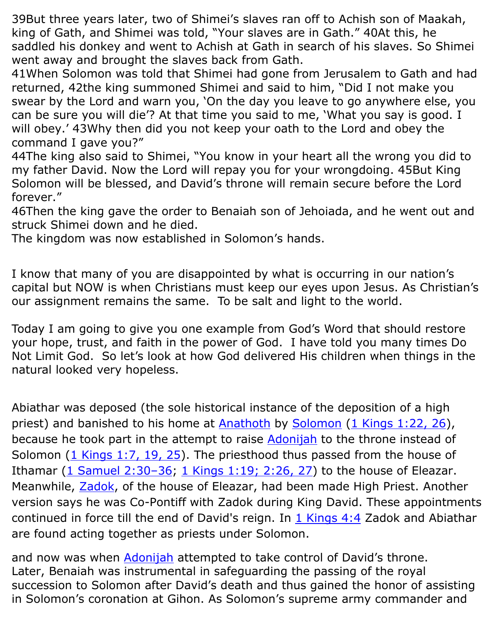39But three years later, two of Shimei's slaves ran off to Achish son of Maakah, king of Gath, and Shimei was told, "Your slaves are in Gath." 40At this, he saddled his donkey and went to Achish at Gath in search of his slaves. So Shimei went away and brought the slaves back from Gath.

41When Solomon was told that Shimei had gone from Jerusalem to Gath and had returned, 42the king summoned Shimei and said to him, "Did I not make you swear by the Lord and warn you, 'On the day you leave to go anywhere else, you can be sure you will die'? At that time you said to me, 'What you say is good. I will obey.' 43Why then did you not keep your oath to the Lord and obey the command I gave you?"

44The king also said to Shimei, "You know in your heart all the wrong you did to my father David. Now the Lord will repay you for your wrongdoing. 45But King Solomon will be blessed, and David's throne will remain secure before the Lord forever."

46Then the king gave the order to Benaiah son of Jehoiada, and he went out and struck Shimei down and he died.

The kingdom was now established in Solomon's hands.

I know that many of you are disappointed by what is occurring in our nation's capital but NOW is when Christians must keep our eyes upon Jesus. As Christian's our assignment remains the same. To be salt and light to the world.

Today I am going to give you one example from God's Word that should restore your hope, trust, and faith in the power of God. I have told you many times Do Not Limit God. So let's look at how God delivered His children when things in the natural looked very hopeless.

Abiathar was deposed (the sole historical instance of the deposition of a high priest) and banished to his home at [Anathoth](https://en.wikipedia.org/wiki/Anathoth) by [Solomon](https://en.wikipedia.org/wiki/Solomon) (1 Kings [1:22, 26\)](https://www.biblegateway.com/passage/?search=1+Kings+1%3A22%2C+26&version=KJV), because he took part in the attempt to raise [Adonijah](https://en.wikipedia.org/wiki/Adonijah) to the throne instead of Solomon  $(1$  Kings 1:7, 19, 25). The priesthood thus passed from the house of Ithamar  $(1$  Samuel  $2:30-36$ ;  $1$  Kings  $1:19$ ;  $2:26$ ,  $27$ ) to the house of Eleazar. Meanwhile, **Zadok**, of the house of Eleazar, had been made High Priest. Another version says he was Co-Pontiff with Zadok during King David. These appointments continued in force till the end of David's reign. In  $1$  Kings 4:4 Zadok and Abiathar are found acting together as priests under Solomon.

and now was when [Adonijah](https://www.gotquestions.org/Adonijah-in-the-Bible.html) attempted to take control of David's throne. Later, Benaiah was instrumental in safeguarding the passing of the royal succession to Solomon after David's death and thus gained the honor of assisting in Solomon's coronation at Gihon. As Solomon's supreme army commander and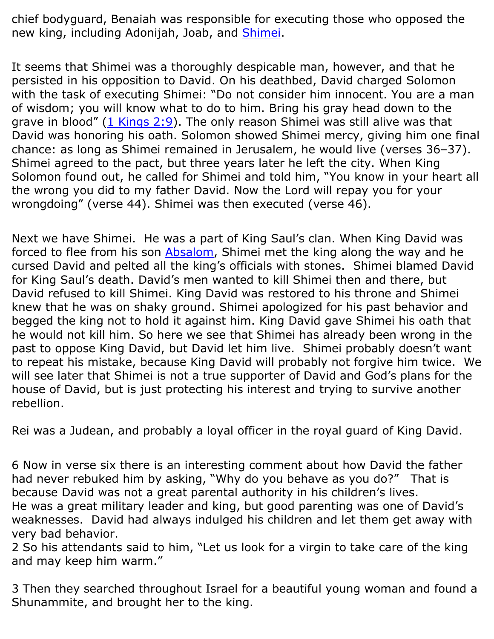chief bodyguard, Benaiah was responsible for executing those who opposed the new king, including Adonijah, Joab, and [Shimei.](https://www.gotquestions.org/Shimei-in-the-Bible.html)

It seems that Shimei was a thoroughly despicable man, however, and that he persisted in his opposition to David. On his deathbed, David charged Solomon with the task of executing Shimei: "Do not consider him innocent. You are a man of wisdom; you will know what to do to him. Bring his gray head down to the grave in blood"  $(1 \text{ Kings } 2:9)$ . The only reason Shimei was still alive was that David was honoring his oath. Solomon showed Shimei mercy, giving him one final chance: as long as Shimei remained in Jerusalem, he would live (verses 36–37). Shimei agreed to the pact, but three years later he left the city. When King Solomon found out, he called for Shimei and told him, "You know in your heart all the wrong you did to my father David. Now the Lord will repay you for your wrongdoing" (verse 44). Shimei was then executed (verse 46).

Next we have Shimei. He was a part of King Saul's clan. When King David was forced to flee from his son **Absalom**, Shimei met the king along the way and he cursed David and pelted all the king's officials with stones. Shimei blamed David for King Saul's death. David's men wanted to kill Shimei then and there, but David refused to kill Shimei. King David was restored to his throne and Shimei knew that he was on shaky ground. Shimei apologized for his past behavior and begged the king not to hold it against him. King David gave Shimei his oath that he would not kill him. So here we see that Shimei has already been wrong in the past to oppose King David, but David let him live. Shimei probably doesn't want to repeat his mistake, because King David will probably not forgive him twice. We will see later that Shimei is not a true supporter of David and God's plans for the house of David, but is just protecting his interest and trying to survive another rebellion.

Rei was a Judean, and probably a loyal officer in the royal guard of King David.

6 Now in verse six there is an interesting comment about how David the father had never rebuked him by asking, "Why do you behave as you do?" That is because David was not a great parental authority in his children's lives.

He was a great military leader and king, but good parenting was one of David's weaknesses. David had always indulged his children and let them get away with very bad behavior.

2 So his attendants said to him, "Let us look for a virgin to take care of the king and may keep him warm."

3 Then they searched throughout Israel for a beautiful young woman and found a Shunammite, and brought her to the king.